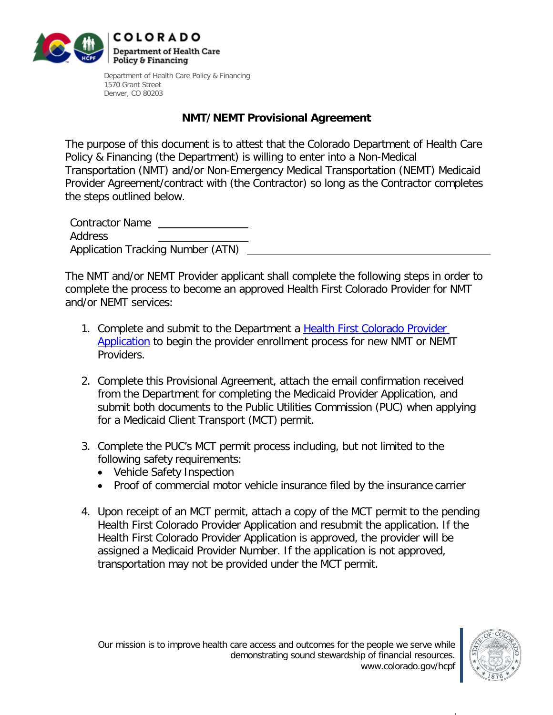

Department of Health Care Policy & Financing 1570 Grant Street Denver, CO 80203

## **NMT/NEMT Provisional Agreement**

The purpose of this document is to attest that the Colorado Department of Health Care Policy & Financing (the Department) is willing to enter into a Non-Medical Transportation (NMT) and/or Non-Emergency Medical Transportation (NEMT) Medicaid Provider Agreement/contract with (the Contractor) so long as the Contractor completes the steps outlined below.

Contractor Name Address Application Tracking Number (ATN)

The NMT and/or NEMT Provider applicant shall complete the following steps in order to complete the process to become an approved Health First Colorado Provider for NMT and/or NEMT services:

- 1. Complete and submit to the Department a [Health First Colorado Provider](https://www.colorado.gov/hcpf/provider-enrollment)  [Application](https://www.colorado.gov/hcpf/provider-enrollment) to begin the provider enrollment process for new NMT or NEMT Providers.
- 2. Complete this Provisional Agreement, attach the email confirmation received from the Department for completing the Medicaid Provider Application, and submit both documents to the Public Utilities Commission (PUC) when applying for a Medicaid Client Transport (MCT) permit.
- 3. Complete the PUC's MCT permit process including, but not limited to the following safety requirements:
	- Vehicle Safety Inspection
	- Proof of commercial motor vehicle insurance filed by the insurance carrier
- 4. Upon receipt of an MCT permit, attach a copy of the MCT permit to the pending Health First Colorado Provider Application and resubmit the application. If the Health First Colorado Provider Application is approved, the provider will be assigned a Medicaid Provider Number. If the application is not approved, transportation may not be provided under the MCT permit.

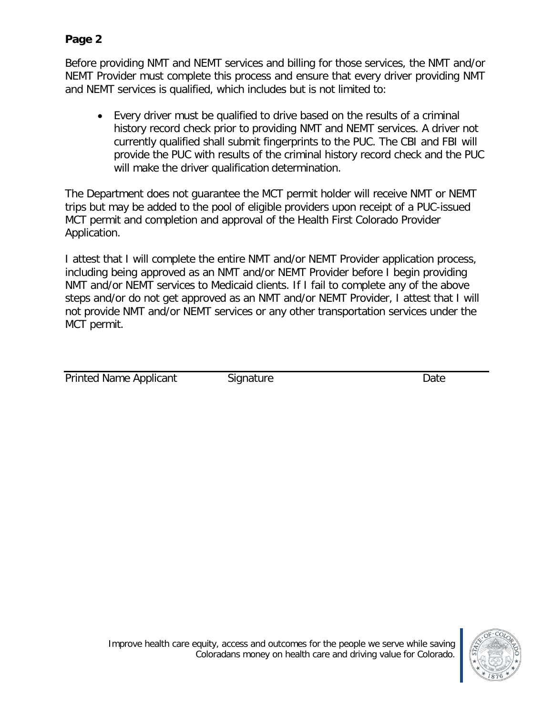## **Page 2**

Before providing NMT and NEMT services and billing for those services, the NMT and/or NEMT Provider must complete this process and ensure that every driver providing NMT and NEMT services is qualified, which includes but is not limited to:

• Every driver must be qualified to drive based on the results of a criminal history record check prior to providing NMT and NEMT services. A driver not currently qualified shall submit fingerprints to the PUC. The CBI and FBI will provide the PUC with results of the criminal history record check and the PUC will make the driver qualification determination.

The Department does not guarantee the MCT permit holder will receive NMT or NEMT trips but may be added to the pool of eligible providers upon receipt of a PUC-issued MCT permit and completion and approval of the Health First Colorado Provider Application.

I attest that I will complete the entire NMT and/or NEMT Provider application process, including being approved as an NMT and/or NEMT Provider before I begin providing NMT and/or NEMT services to Medicaid clients. If I fail to complete any of the above steps and/or do not get approved as an NMT and/or NEMT Provider, I attest that I will not provide NMT and/or NEMT services or any other transportation services under the MCT permit.

| <b>Printed Name Applicant</b> | Signature | Date |
|-------------------------------|-----------|------|
|                               |           |      |